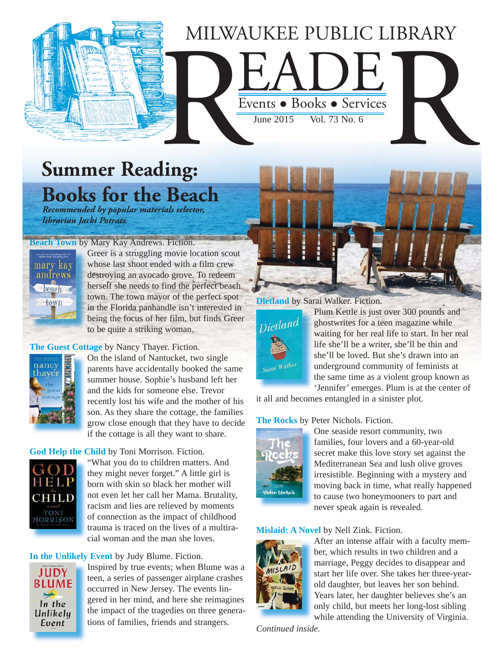## MILWAUKEE PUBLIC LIBRARY AUKEE PUBLIC LIBRARY<br>Events • Books • Services MILWA

Events • Books • Services

June 2015 Vol. 73 No. 6

## **Summer Reading: Books for the Beach**

 *Recommended by popular materials selector, librarian Jacki Potratz*

#### **Beach Town** by Mary Kay Andrews. Fiction.



Greer is a struggling movie location scout whose last shoot ended with a film crew destroying an avocado grove. To redeem herself she needs to find the perfect beach town. The town mayor of the perfect spot in the Florida panhandle isn't interested in [being the focus of her film, but finds Greer](https://encore.mcfls.org/iii/encore/record/C__Rb3828435)  to be quite a striking woman.

#### **The Guest Cottage** by Nancy Thayer. Fiction.



On the island of Nantucket, two single parents have accidentally booked the same summer house. Sophie's husband left her and the kids for someone else. Trevor recently lost his wife and the mother of his son. As they share the cottage, the families [grow close enough that they have to decide](https://encore.mcfls.org/iii/encore/record/C__Rb3816399)  if the cottage is all they want to share.

#### **God Help the Child** by Toni Morrison. Fiction.



"What you do to children matters. And they might never forget." A little girl is born with skin so black her mother will [not even let her call her Mama. Brutality,](https://encore.mcfls.org/iii/encore/record/C__Rb3823972)  racism and lies are relieved by moments of connection as the impact of childhood trauma is traced on the lives of a multiracial woman and the man she loves.

#### **In the Unlikely Event** by Judy Blume. Fiction.



[Inspired by true events; when Blume was a](https://encore.mcfls.org/iii/encore/record/C__Rb3825449)  teen, a series of passenger airplane crashes occurred in New Jersey. The events lingered in her mind, and here she reimagines the impact of the tragedies on three generations of families, friends and strangers.

#### **Dietland** by Sarai Walker. Fiction.



Plum Kettle is just over 300 pounds and ghostwrites for a teen magazine while waiting for her real life to start. In her real life she'll be a writer, she'll be thin and she'll be loved. But she's drawn into an underground community of feminists at the same time as a violent group known as 'Jennifer' emerges. Plum is at the center of

[it all and becomes entangled in a sinister plot.](https://encore.mcfls.org/iii/encore/record/C__Rb3825127)

#### **The Rocks** by Peter Nichols. Fiction.



One seaside resort community, two families, four lovers and a 60-year-old secret make this love story set against the Mediterranean Sea and lush olive groves irresistible. Beginning with a mystery and [moving back in time, what really happened](https://encore.mcfls.org/iii/encore/record/C__Rb3816402)  to cause two honeymooners to part and never speak again is revealed.

#### **Mislaid: A Novel** by Nell Zink. Fiction.



After an intense affair with a faculty member, which results in two children and a marriage, Peggy decides to disappear and [start her life over. She takes her three-year](https://encore.mcfls.org/iii/encore/record/C__Rb3825448)old daughter, but leaves her son behind. Years later, her daughter believes she's an only child, but meets her long-lost sibling while attending the University of Virginia.

*Continued inside.*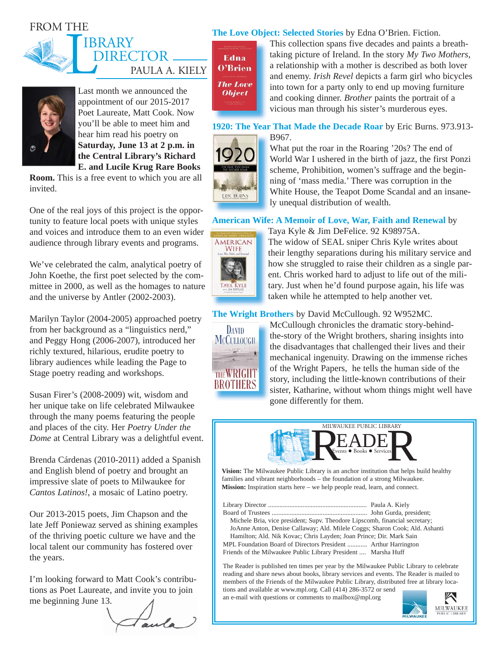#### FROM THE





Last month we announced the appointment of our 2015-2017 Poet Laureate, Matt Cook. Now you'll be able to meet him and hear him read his poetry on **Saturday, June 13 at 2 p.m. in the Central Library's Richard E. and Lucile Krug Rare Books** 

**Room.** This is a free event to which you are all invited.

One of the real joys of this project is the opportunity to feature local poets with unique styles and voices and introduce them to an even wider audience through library events and programs.

We've celebrated the calm, analytical poetry of John Koethe, the first poet selected by the committee in 2000, as well as the homages to nature and the universe by Antler (2002-2003).

Marilyn Taylor (2004-2005) approached poetry from her background as a "linguistics nerd," and Peggy Hong (2006-2007), introduced her richly textured, hilarious, erudite poetry to library audiences while leading the Page to Stage poetry reading and workshops.

Susan Firer's (2008-2009) wit, wisdom and her unique take on life celebrated Milwaukee through the many poems featuring the people and places of the city. Her *Poetry Under the Dome* at Central Library was a delightful event.

Brenda Cárdenas (2010-2011) added a Spanish and English blend of poetry and brought an impressive slate of poets to Milwaukee for *Cantos Latinos!*, a mosaic of Latino poetry.

Our 2013-2015 poets, Jim Chapson and the late Jeff Poniewaz served as shining examples of the thriving poetic culture we have and the local talent our community has fostered over the years.

I'm looking forward to Matt Cook's contributions as Poet Laureate, and invite you to join me beginning June 13.

aula

**The Love Object: Selected Stories** by Edna O'Brien. Fiction.

Edna O'Brien **The Love Object** 

This collection spans five decades and paints a breathtaking picture of Ireland. In the story *My Two Mothers*, [a relationship with a mother is described as both lover](https://encore.mcfls.org/iii/encore/record/C__Rb3813232)  and enemy. *Irish Revel* depicts a farm girl who bicycles into town for a party only to end up moving furniture and cooking dinner. *Brother* paints the portrait of a vicious man through his sister's murderous eyes.

**1920: The Year That Made the Decade Roar** by Eric Burns. 973.913- B967.



What put the roar in the Roaring '20s? The end of [World War I ushered in the birth of jazz, the first Ponzi](https://encore.mcfls.org/iii/encore/record/C__Rb3825280)  scheme, Prohibition, women's suffrage and the beginning of 'mass media.' There was corruption in the White House, the Teapot Dome Scandal and an insanely unequal distribution of wealth.

#### **[American Wife: A Memoir of Love, War, Faith and Renewal](https://encore.mcfls.org/iii/encore/record/C__Rb3816218)** by



Taya Kyle & Jim DeFelice. 92 K98975A. The widow of SEAL sniper Chris Kyle writes about their lengthy separations during his military service and how she struggled to raise their children as a single parent. Chris worked hard to adjust to life out of the military. Just when he'd found purpose again, his life was taken while he attempted to help another vet.

#### **The Wright Brothers** by David McCullough. 92 W952MC.



McCullough chronicles the dramatic story-behindthe-story of the Wright brothers, sharing insights into the disadvantages that challenged their lives and their mechanical ingenuity. Drawing on the immense riches of the Wright Papers, he tells the human side of the story, including the little-known contributions of their [sister, Katharine, without whom things might well have](https://encore.mcfls.org/iii/encore/record/C__Rb3816211)  gone differently for them.



**Vision:** The Milwaukee Public Library is an anchor institution that helps build healthy families and vibrant neighborhoods – the foundation of a strong Milwaukee. **Mission:** Inspiration starts here – we help people read, learn, and connect.

Library Director ............................................................ Paula A. Kiely Board of Trustees .......................................................... John Gurda, president; Michele Bria, vice president; Supv. Theodore Lipscomb, financial secretary; JoAnne Anton, Denise Callaway; Ald. Milele Coggs; Sharon Cook; Ald. Ashanti Hamilton; Ald. Nik Kovac; Chris Layden; Joan Prince; Dir. Mark Sain MPL Foundation Board of Directors President ............ Arthur Harrington Friends of the Milwaukee Public Library President .... Marsha Huff

The Reader is published ten times per year by the Milwaukee Public Library to celebrate reading and share news about books, library services and events. The Reader is mailed to members of the Friends of the Milwaukee Public Library, distributed free at library locations and available at www.mpl.org. Call (414) 286-3572 or send

an e-mail with questions or comments to mailbox@mpl.org

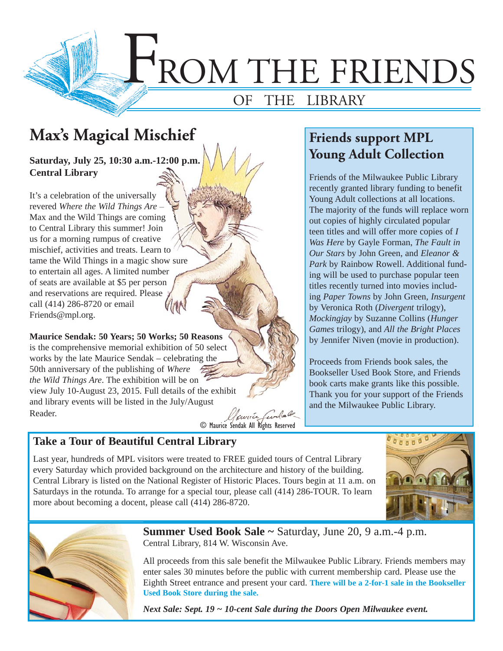

## **Max's Magical Mischief l**

**Saturday, July 25, 10:30 a.m.-12:00 p.m. 30 Central Library**

It's a celebration of the universally revered Where the Wild Things Are -Max and the Wild Things are coming to Central Library this summer! Join to Central Library this summer! Join<br>us for a morning rumpus of creative mischief, activities and treats. Learn to tame the Wild Things in a magic show sure mischief, activities and treats. Learn to<br>tame the Wild Things in a magic show<br>to entertain all ages. A limited number of seats are available at \$5 per person of seats are available at \$5 per persor<br>and reservations are required. Please call (414) 286-8720 or email Friends@mpl.org.

**Maurice Sendak: 50 Years; 50 Works; 50 Reasons rs; 50 Works;** is the comprehensive memorial exhibition of 50 select is the comprehensive memorial exhibition of 50 sele<br>works by the late Maurice Sendak – celebrating the 50th anniversary of the publishing of Where the Wild Things Are. The exhibition will be on view July 10-August 23, 2015. Full details of the exhibit and library events will be listed in the July/August Reader.

llaurice © Maurice Sendak All Rights Reserved

### **Friends support MPL Young Adult Collection**

Friends of the Milwaukee Public Library recently granted library funding to benefit Young Adult collections at all locations. The majority of the funds will replace worn out copies of highly circulated popular teen titles and will offer more copies of *I Was Here* by Gayle Forman, *The Fault in Our Stars* by John Green, and *Eleanor & Park* by Rainbow Rowell. Additional funding will be used to purchase popular teen titles recently turned into movies including *Paper Towns* by John Green, *Insurgent* by Veronica Roth (*Divergent* trilogy), *Mockingjay* by Suzanne Collins (*Hunger Games* trilogy), and *All the Bright Places* by Jennifer Niven (movie in production).

Proceeds from Friends book sales, the Bookseller Used Book Store, and Friends book carts make grants like this possible. Thank you for your support of the Friends and the Milwaukee Public Library.

#### **Take a Tour of Beautiful Central Library**

Last year, hundreds of MPL visitors were treated to FREE guided tours of Central Library every Saturday which provided background on the architecture and history of the building. Central Library is listed on the National Register of Historic Places. Tours begin at 11 a.m. on Saturdays in the rotunda. To arrange for a special tour, please call (414) 286-TOUR. To learn more about becoming a docent, please call (414) 286-8720.





**Summer Used Book Sale ~** Saturday, June 20, 9 a.m.-4 p.m. Central Library, 814 W. Wisconsin Ave.

All proceeds from this sale benefit the Milwaukee Public Library. Friends members may enter sales 30 minutes before the public with current membership card. Please use the Eighth Street entrance and present your card. **There will be a 2-for-1 sale in the Bookseller Used Book Store during the sale.**

*Next Sale: Sept. 19 ~ 10-cent Sale during the Doors Open Milwaukee event.*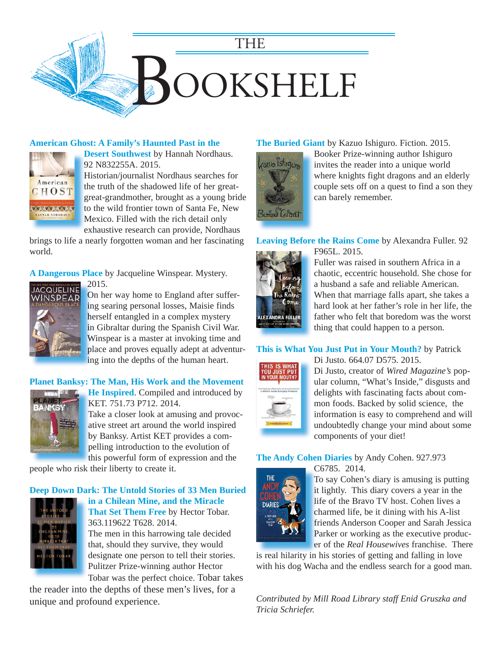

#### **American Ghost: A Family's Haunted Past in the**



**Desert Southwest** by Hannah Nordhaus. **D** 92 N832255A. 2015. 9 Historian/journalist Nordhaus searches for H

the truth of the shadowed life of her great-t great-grandmother, brought as a young bride g to the wild frontier town of Santa Fe, New Mexico. Filled with the rich detail only M exhaustive research can provide, Nordhaus e

[brings to life a nearly forgotten woman and her fascinating](https://encore.mcfls.org/iii/encore/record/C__Rb3805911)  world.

**A Dangerous Place** by Jacqueline Winspear. Mystery.



2015. 2 On her way home to England after suffer-O ing searing personal losses, Maisie finds in herself entangled in a complex mystery h in Gibraltar during the Spanish Civil War. in Winspear is a master at invoking time and W [place and proves equally adept at adventur-](https://encore.mcfls.org/iii/encore/record/C__Rb3797472)p ing into the depths of the human heart. in

#### **[Planet Banksy: The Man, His Work and the Movement](https://encore.mcfls.org/iii/encore/record/C__Rb3784699)**



**He Inspired**. Compiled and introduced by **H** KET. 751.73 P712. 2014. K Take a closer look at amusing and provoc-T ative street art around the world inspired a

by Banksy. Artist KET provides a com-b pelling introduction to the evolution of p this powerful form of expression and the

people who risk their liberty to create it.

#### **Deep Down Dark: The Untold Stories of 33 Men Buried**



**in a Chilean Mine, and the Miracle That Set Them Free** by Hector Tobar. 363.119622 T628. 2014. The men in this harrowing tale decided that, should they survive, they would designate one person to tell their stories.

Pulitzer Prize-winning author Hector Tobar was the perfect choice. Tobar takes

[the reader into the depths of these men's lives, for a](https://encore.mcfls.org/iii/encore/record/C__Rb3777684)  unique and profound experience.

#### **The Buried Giant** by Kazuo Ishiguro. Fiction. 2015.



Booker Prize-winning author Ishiguro invites the reader into a unique world where knights fight dragons and an elderly [couple sets off on a quest to find a son they](https://encore.mcfls.org/iii/encore/record/C__Rb3804581)  can barely remember.

#### **Leaving Before the Rains Come** by Alexandra Fuller. 92

F965L. 2015.



Fuller was raised in southern Africa in a chaotic, eccentric household. She chose for a husband a safe and reliable American. When that marriage falls apart, she takes a [hard look at her father's role in her life, the](https://encore.mcfls.org/iii/encore/record/C__Rb3794632)  father who felt that boredom was the worst thing that could happen to a person.

#### **[This is What You Just Put in Your Mouth?](https://encore.mcfls.org/iii/encore/record/C__Rb3810340)** by Patrick



Di Justo. 664.07 D575. 2015. Di Justo, creator of *Wired Magazine's* popular column, "What's Inside," disgusts and delights with fascinating facts about common foods. Backed by solid science, the

information is easy to comprehend and will undoubtedly change your mind about some components of your diet!

#### **The Andy Cohen Diaries** by Andy Cohen. 927.973



C6785. 2014. C To say Cohen's diary is amusing is putting T it lightly. This diary covers a year in the life of the Bravo TV host. Cohen lives a l charmed life, be it dining with his A-list c friends Anderson Cooper and Sarah Jessica f

Parker or working as the executive producer of the *Real Housewives* franchise. There

is real hilarity in his stories of getting and falling in love [with his dog Wacha and the endless search for a good man.](https://encore.mcfls.org/iii/encore/record/C__Rb3785869) 

*Contributed by Mill Road Library staff Enid Gruszka and Tricia Schriefer.*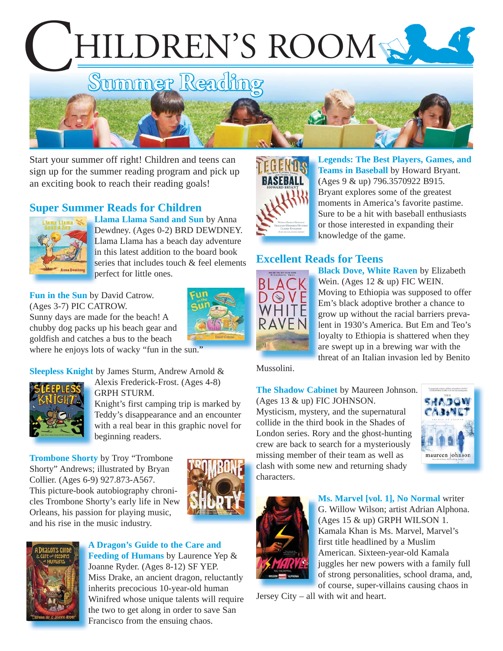# HILDREN'S ROOM



Start your summer off right! Children and teens can sign up for the summer reading program and pick up an exciting book to reach their reading goals!

#### **Super Summer Reads for Children**



**Llama Llama Sand and Sun** by Anna **L** Dewdney. (Ages 0-2) BRD DEWDNEY. D Llama Llama has a beach day adventure L in this latest addition to the board book in series that includes touch & feel elements perfect for little ones. p

**Fun in the Sun** by David Catrow. (Ages 3-7) PIC CATROW. Sunny days are made for the beach! A chubby dog packs up his beach gear and goldfish and catches a bus to the beach

[where he enjoys lots of wacky "fun in the sun."](https://encore.mcfls.org/iii/encore/record/C__Rb3794158)

**Sleepless Knight** by James Sturm, Andrew Arnold &



Alexis Frederick-Frost. (Ages 4-8) GRPH STURM.

Knight's first camping trip is marked by Teddy's disappearance and an encounter [with a real bear in this graphic novel for](https://encore.mcfls.org/iii/encore/record/C__Rb3814527)  beginning readers.

**Trombone Shorty** by Troy "Trombone Shorty" Andrews; illustrated by Bryan Collier. (Ages 6-9) 927.873-A567. This picture-book autobiography chroni[cles Trombone Shorty's early life in New](https://encore.mcfls.org/iii/encore/record/C__Rb3811598)  Orleans, his passion for playing music, and his rise in the music industry.





#### **A Dragon's Guide to the Care and A** Feeding of Humans by Laurence Yep & Joanne Ryder. (Ages 8-12) SF YEP. J Miss Drake, an ancient dragon, reluctantly M inherits precocious 10-year-old human i [Winifred whose unique talents will require](https://encore.mcfls.org/iii/encore/record/C__Rb3814930)  W the two to get along in order to save San Francisco from the ensuing chaos. F



**[Legends: The Best Players, Games, and](https://encore.mcfls.org/iii/encore/record/C__Rb3810667)  L** Teams in Baseball by Howard Bryant. (Ages 9 & up) 796.3570922 B915. ( Bryant explores some of the greatest B moments in America's favorite pastime. m Sure to be a hit with baseball enthusiasts S or those interested in expanding their knowledge of the game. k

#### **Excellent Reads for Teens**



**Black Dove, White Raven** by Elizabeth **B** Wein. (Ages 12 & up) FIC WEIN. [Moving to Ethiopia was supposed to offer](https://encore.mcfls.org/iii/encore/record/C__Rb3816093)  M Em's black adoptive brother a chance to E grow up without the racial barriers preva-g lent in 1930's America. But Em and Teo's l loyalty to Ethiopia is shattered when they l are swept up in a brewing war with the a threat of an Italian invasion led by Benito t

Mussolini.

**The Shadow Cabinet** by Maureen Johnson.

(Ages 13 & up) FIC JOHNSON. Mysticism, mystery, and the supernatural collide in the third book in the Shades of [London series. Rory and the ghost-hunting](https://encore.mcfls.org/iii/encore/record/C__Rb3792608)  crew are back to search for a mysteriously missing member of their team as well as clash with some new and returning shady characters.





**Ms. Marvel [vol. 1], No Normal** writer **M** G. Willow Wilson; artist Adrian Alphona. G (Ages 15 & up) GRPH WILSON 1. ( Kamala Khan is Ms. Marvel, Marvel's K first title headlined by a Muslim f American. Sixteen-year-old Kamala A juggles her new powers with a family full j of strong personalities, school drama, and, of course, super-villains causing chaos in

Jersey City – all with wit and heart.